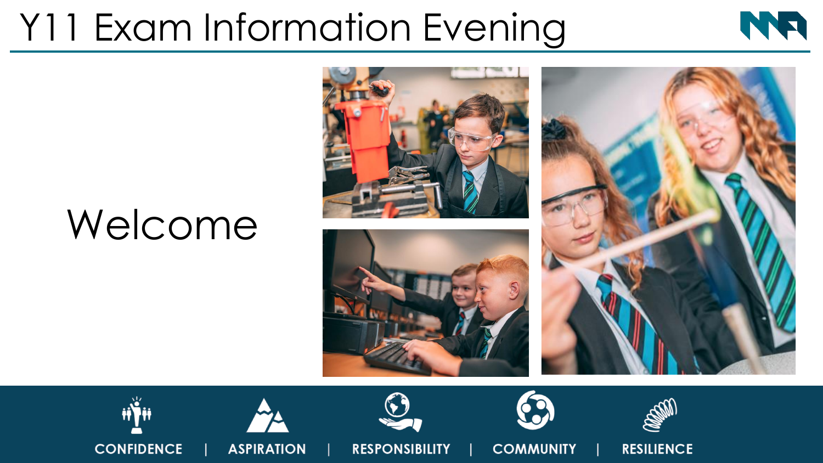## Y11 Exam Information Evening



# Welcome













**RESPONSIBILITY** 



**COMMUNITY** 



**RESILIENCE**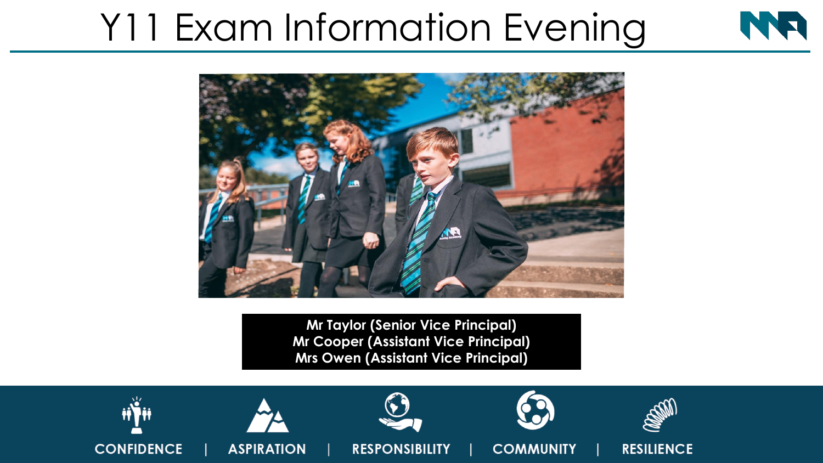## Y11 Exam Information Evening



**Mr Taylor (Senior Vice Principal) Mr Cooper (Assistant Vice Principal) Mrs Owen (Assistant Vice Principal)**

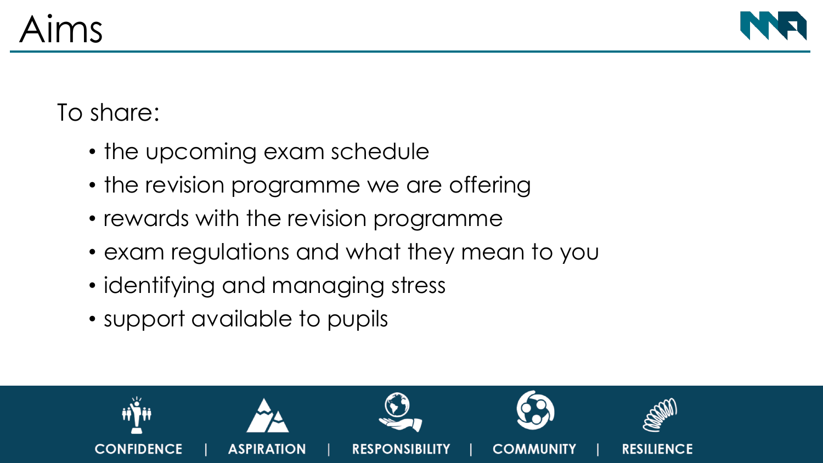

#### To share:

- the upcoming exam schedule
- the revision programme we are offering
- rewards with the revision programme
- exam regulations and what they mean to you
- identifying and managing stress
- support available to pupils

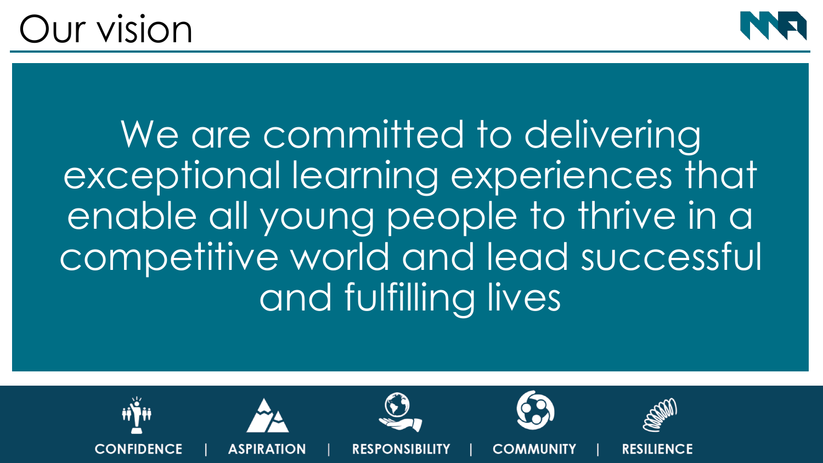### Our vision



We are committed to delivering exceptional learning experiences that enable all young people to thrive in a competitive world and lead successful and fulfilling lives

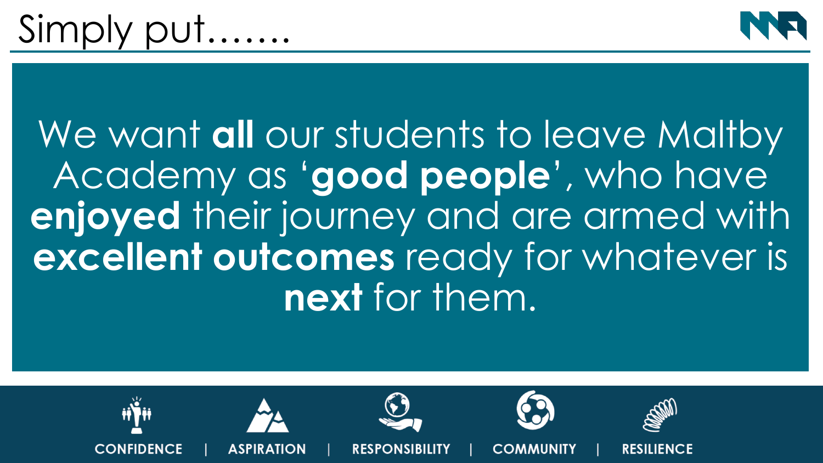

## We want **all** our students to leave Maltby Academy as '**good people**', who have **enjoyed** their journey and are armed with **excellent outcomes** ready for whatever is **next** for them.

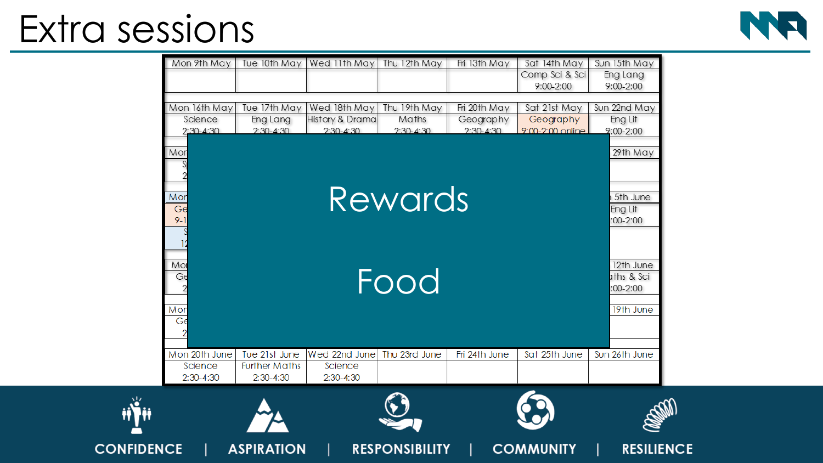### Extra sessions



|                             | Mon 9th May                              | Tue 10th May                                         | Wed 11th May                                   | Thu 12th May                         | Fri 13th May                             | Sat 14th May<br>Comp Sci & Sci<br>9:00-2:00       | Sun 15th May<br>Eng Lang<br>9:00-2:00               |
|-----------------------------|------------------------------------------|------------------------------------------------------|------------------------------------------------|--------------------------------------|------------------------------------------|---------------------------------------------------|-----------------------------------------------------|
|                             | Mon 16th May<br>Science<br>$2:30 - 4:30$ | Tue 17th May<br>Eng Lang<br>$2:30 - 4:30$            | Wed 18th May<br>History & Drama<br>$2:30-4:30$ | Thu 19th May<br>Maths<br>$2:30-4:30$ | Fri 20th May<br>Geography<br>$2:30-4:30$ | Sat 21st May<br>Geography<br>$9:00 - 2:00$ online | Sun 22nd May<br>Eng Lit<br>$2:00 - 2:00$            |
| Mor<br>Mor<br>Ge<br>$9 - 1$ |                                          |                                                      |                                                | Rewards                              |                                          |                                                   | 29th May<br>5th June<br>Eng Lit<br>$:00 - 2:00$     |
| Mor<br>Ge<br>Mor<br>Ge      |                                          |                                                      |                                                | Food                                 |                                          |                                                   | 12th June<br>ths & Sci<br>$.00 - 2:00$<br>19th June |
|                             | Mon 20th June<br>Science<br>$2:30-4:30$  | Tue 21st June<br><b>Further Maths</b><br>$2:30-4:30$ | Wed 22nd June<br>Science<br>$2:30 - 4:30$      | Thu 23rd June                        | Fri 24th June                            | Sat 25th June                                     | Sun 26th June                                       |
|                             |                                          |                                                      |                                                |                                      |                                          |                                                   |                                                     |
| <b>CONFIDENCE</b>           |                                          | <b>ASPIRATION</b>                                    |                                                | <b>RESPONSIBILITY</b>                |                                          | <b>COMMUNITY</b>                                  |                                                     |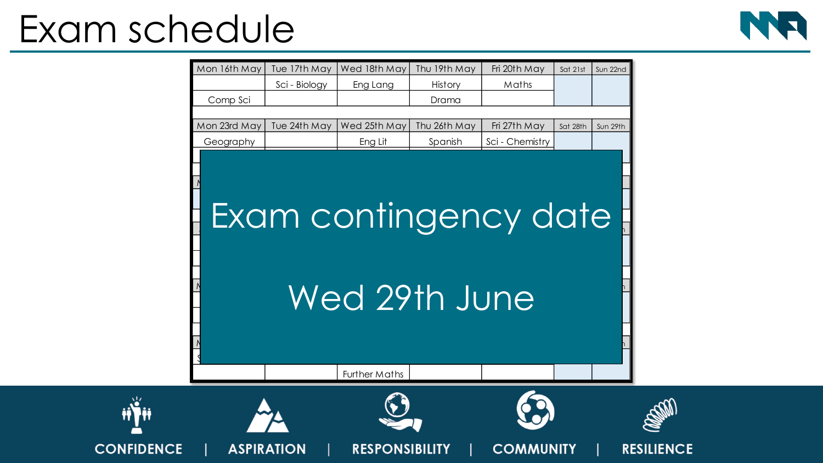### Exam schedule



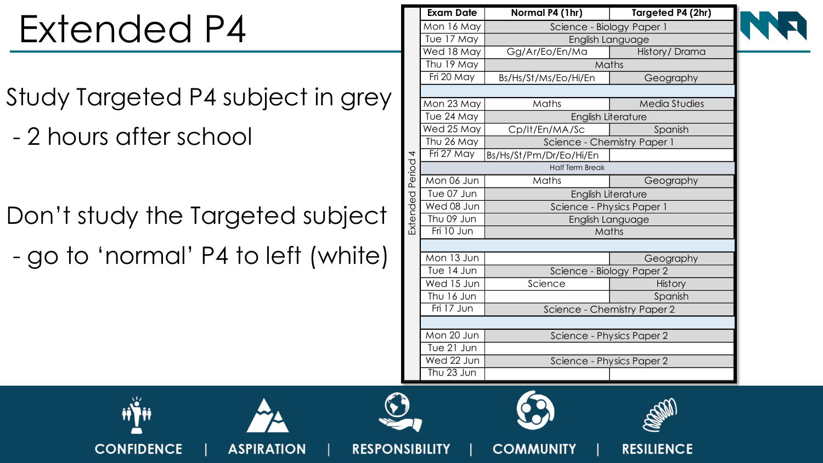# Extended P4

- Study Targeted P4 subject in grey
- 2 hours after school

**CONFIDENCE** 

Don't study the Targeted subject - go to 'normal' P4 to left (white)

**ASPIRATION** 

**RESPONSIBILITY** 

|                   | <b>Exam Date</b>       | Normal P4 (1hr)             | Targeted P4 (2hr)    |  |  |  |  |  |  |
|-------------------|------------------------|-----------------------------|----------------------|--|--|--|--|--|--|
|                   | Mon 16 May             | Science - Biology Paper 1   |                      |  |  |  |  |  |  |
|                   | Tue 17 May             | English Language            |                      |  |  |  |  |  |  |
| Extended Period 4 | Wed 18 May             | Gg/Ar/Eo/En/Ma              | History/Drama        |  |  |  |  |  |  |
|                   | Thu 19 May             | Maths                       |                      |  |  |  |  |  |  |
|                   | Fri 20 May             | Bs/Hs/St/Ms/Eo/Hi/En        | Geography            |  |  |  |  |  |  |
|                   |                        |                             |                      |  |  |  |  |  |  |
|                   | Mon 23 May             | Maths                       | <b>Media Studies</b> |  |  |  |  |  |  |
|                   | Tue 24 May             | <b>English Literature</b>   |                      |  |  |  |  |  |  |
|                   | Wed 25 May             | Cp/lt/En/MA/Sc              | Spanish              |  |  |  |  |  |  |
|                   | Thu 26 May             | Science - Chemistry Paper 1 |                      |  |  |  |  |  |  |
|                   | Fri 27 May             | Bs/Hs/St/Pm/Dr/Eo/Hi/En     |                      |  |  |  |  |  |  |
|                   | <b>Half Term Break</b> |                             |                      |  |  |  |  |  |  |
|                   | Mon 06 Jun             | Maths                       | Geography            |  |  |  |  |  |  |
|                   | Tue 07 Jun             | <b>English Literature</b>   |                      |  |  |  |  |  |  |
|                   | Wed 08 Jun             | Science - Physics Paper 1   |                      |  |  |  |  |  |  |
|                   | Thu 09 Jun             | English Language            |                      |  |  |  |  |  |  |
|                   | Fri 10 Jun             | Maths                       |                      |  |  |  |  |  |  |
|                   |                        |                             |                      |  |  |  |  |  |  |
|                   | Mon 13 Jun             |                             | Geography            |  |  |  |  |  |  |
|                   | Tue 14 Jun             | Science - Biology Paper 2   |                      |  |  |  |  |  |  |
|                   | Wed 15 Jun             | Science                     | <b>History</b>       |  |  |  |  |  |  |
|                   | Thu 16 Jun             |                             | Spanish              |  |  |  |  |  |  |
|                   | $\overline{Fi}$ 17 Jun | Science - Chemistry Paper 2 |                      |  |  |  |  |  |  |
|                   |                        |                             |                      |  |  |  |  |  |  |
|                   | Mon 20 Jun             | Science - Physics Paper 2   |                      |  |  |  |  |  |  |
|                   | Tue 21 Jun             |                             |                      |  |  |  |  |  |  |
|                   | Wed 22 Jun             | Science - Physics Paper 2   |                      |  |  |  |  |  |  |
|                   | Thu 23 Jun             |                             |                      |  |  |  |  |  |  |

**COMMUNITY** 





**RESILIENCE**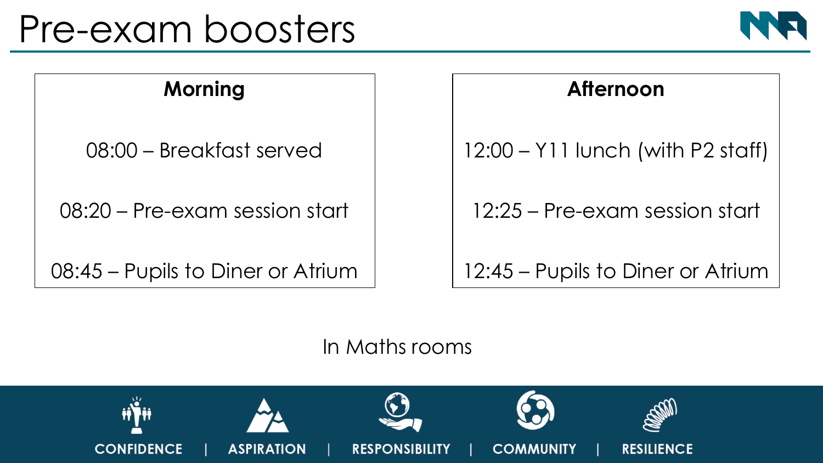#### Pre-exam boosters



#### **Morning**

08:00 – Breakfast served

08:20 – Pre-exam session start

08:45 – Pupils to Diner or Atrium

#### **Afternoon**

12:00 – Y11 lunch (with P2 staff)

12:25 – Pre-exam session start

12:45 – Pupils to Diner or Atrium

In Maths rooms

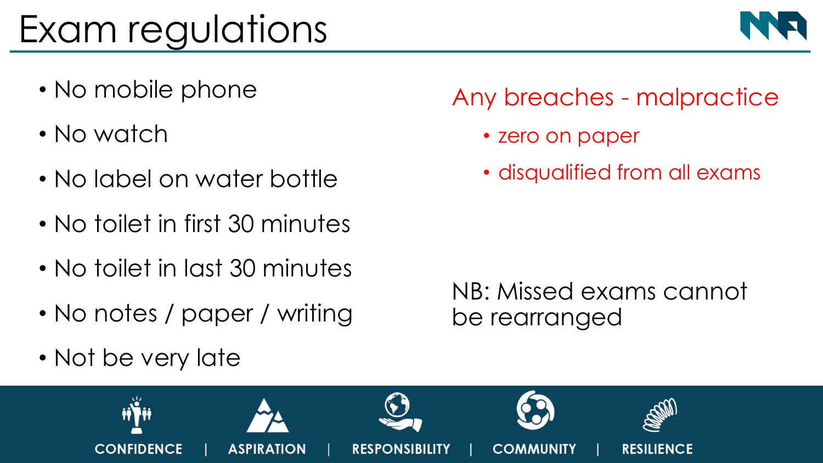## Exam regulations

- No mobile phone
- No watch
- No label on water bottle
- No toilet in first 30 minutes
- No toilet in last 30 minutes
- No notes / paper / writing
- Not be very late

#### Any breaches - malpractice

- zero on paper
- disqualified from all exams

NB: Missed exams cannot be rearranged



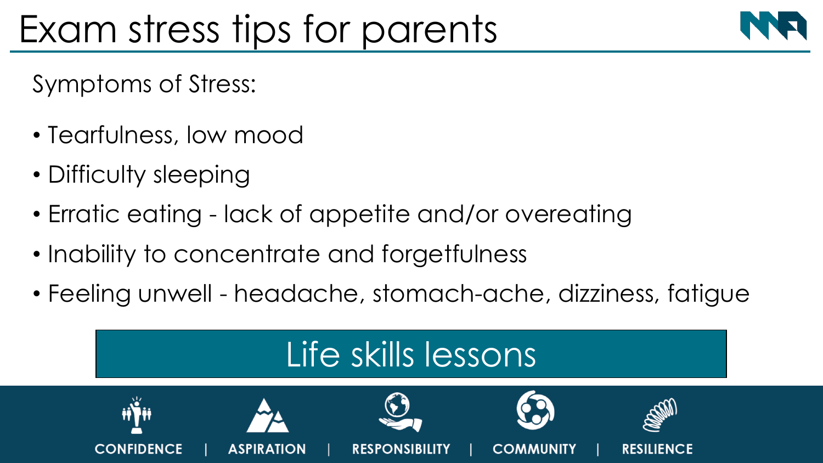## Exam stress tips for parents



Symptoms of Stress:

- Tearfulness, low mood
- Difficulty sleeping
- Erratic eating lack of appetite and/or overeating
- Inability to concentrate and forgetfulness
- Feeling unwell headache, stomach-ache, dizziness, fatigue

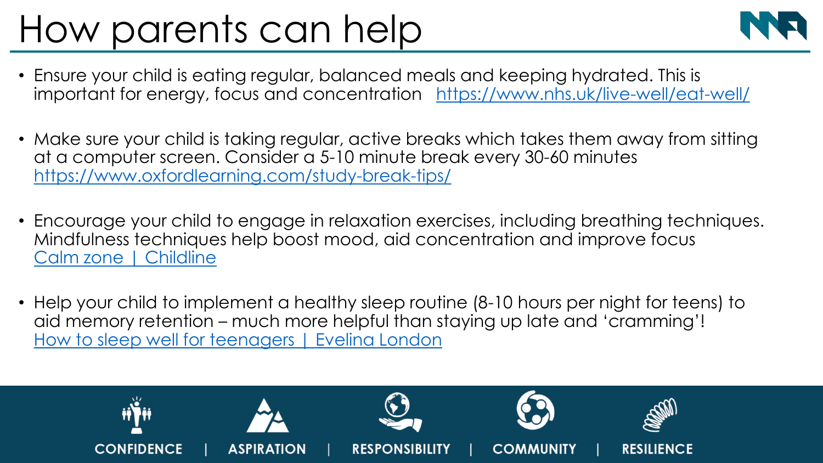## How parents can help



- Ensure your child is eating regular, balanced meals and keeping hydrated. This is important for energy, focus and concentration <https://www.nhs.uk/live-well/eat-well/>
- Make sure your child is taking regular, active breaks which takes them away from sitting at a computer screen. Consider a 5-10 minute break every 30-60 minutes <https://www.oxfordlearning.com/study-break-tips/>
- Encourage your child to engage in relaxation exercises, including breathing techniques. Mindfulness techniques help boost mood, aid concentration and improve focus [Calm zone | Childline](https://www.childline.org.uk/toolbox/calm-zone/)
- Help your child to implement a healthy sleep routine (8-10 hours per night for teens) to aid memory retention – much more helpful than staying up late and 'cramming'! [How to sleep well for teenagers | Evelina](https://www.evelinalondon.nhs.uk/our-services/hospital/sleep-medicine-department/how-to-sleep-well-for-teenagers.aspx?msclkid=f9b3ee6bd02911ecb43e40f9cd5636dd) London

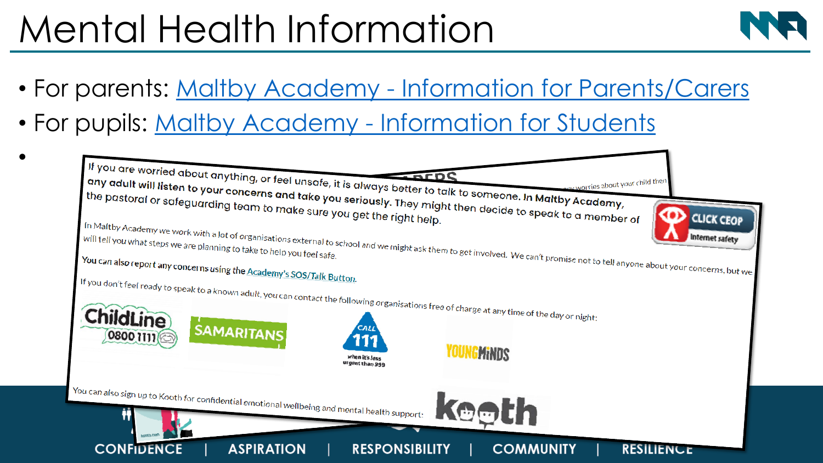## Mental Health Information



- For parents: Maltby Academy [Information for Parents/Carers](https://www.maltbyacademy.com/useful-information/safeguarding/information-for-parents/carers)
- For pupils: Maltby Academy [Information for Students](https://www.maltbyacademy.com/page/?title=Information+for+Students&pid=230)